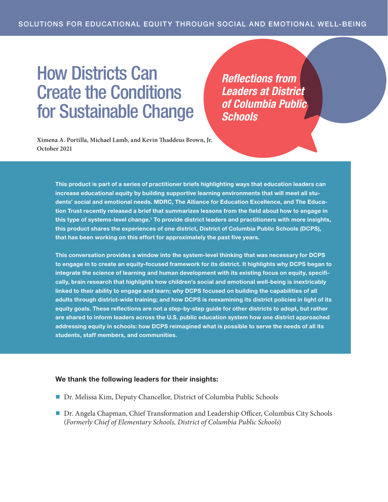## How Districts Can Create the Conditions for Sustainable Change

*Reflections from Leaders at District of Columbia Public Schools*

**Ximena A. Portilla, Michael Lamb, and Kevin Thaddeus Brown, Jr. October 2021**

> This product is part of a series of practitioner briefs highlighting ways that education leaders can increase educational equity by building supportive learning environments that will meet all students' social and emotional needs. MDRC, The Alliance for Education Excellence, and The Education Trust recently released a brief that summarizes lessons from the field about how to engage in this type of systems-level change.<sup>1</sup> To provide district leaders and practitioners with more insights, this product shares the experiences of one district, District of Columbia Public Schools (DCPS), that has been working on this effort for approximately the past five years.

> This conversation provides a window into the system-level thinking that was necessary for DCPS to engage in to create an equity-focused framework for its district. It highlights why DCPS began to integrate the science of learning and human development with its existing focus on equity, specifically, brain research that highlights how children's social and emotional well-being is inextricably linked to their ability to engage and learn; why DCPS focused on building the capabilities of all adults through district-wide training; and how DCPS is reexamining its district policies in light of its equity goals. These reflections are not a step-by-step guide for other districts to adopt, but rather are shared to inform leaders across the U.S. public education system how one district approached addressing equity in schools: how DCPS reimagined what is possible to serve the needs of all its students, staff members, and communities.

## We thank the following leaders for their insights:

- Dr. Melissa Kim, Deputy Chancellor, District of Columbia Public Schools
- Dr. Angela Chapman, Chief Transformation and Leadership Officer, Columbus City Schools (*Formerly Chief of Elementary Schools, District of Columbia Public Schools*)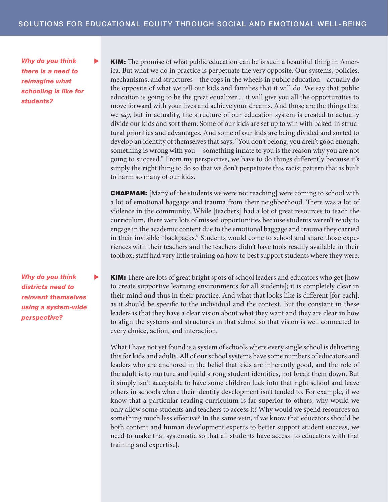*Why do you think there is a need to reimagine what schooling is like for students?*

*Why do you think districts need to reinvent themselves using a system-wide perspective?*

**KIM:** The promise of what public education can be is such a beautiful thing in America. But what we do in practice is perpetuate the very opposite. Our systems, policies, mechanisms, and structures—the cogs in the wheels in public education—actually do the opposite of what we tell our kids and families that it will do. We say that public education is going to be the great equalizer ... it will give you all the opportunities to move forward with your lives and achieve your dreams. And those are the things that we *say*, but in actuality, the structure of our education system is created to actually divide our kids and sort them. Some of our kids are set up to win with baked-in structural priorities and advantages. And some of our kids are being divided and sorted to develop an identity of themselves that says, "You don't belong, you aren't good enough, something is wrong with you— something innate to you is the reason why you are not going to succeed." From my perspective, we have to do things differently because it's simply the right thing to do so that we don't perpetuate this racist pattern that is built to harm so many of our kids.

CHAPMAN: [Many of the students we were not reaching] were coming to school with a lot of emotional baggage and trauma from their neighborhood. There was a lot of violence in the community. While [teachers] had a lot of great resources to teach the curriculum, there were lots of missed opportunities because students weren't ready to engage in the academic content due to the emotional baggage and trauma they carried in their invisible "backpacks." Students would come to school and share those experiences with their teachers and the teachers didn't have tools readily available in their toolbox; staff had very little training on how to best support students where they were.

**KIM:** There are lots of great bright spots of school leaders and educators who get [how to create supportive learning environments for all students]; it is completely clear in their mind and thus in their practice. And what that looks like is different [for each], as it should be specific to the individual and the context. But the constant in these leaders is that they have a clear vision about what they want and they are clear in how to align the systems and structures in that school so that vision is well connected to every choice, action, and interaction.

What I have not yet found is a system of schools where every single school is delivering this for kids and adults. All of our school systems have some numbers of educators and leaders who are anchored in the belief that kids are inherently good, and the role of the adult is to nurture and build strong student identities, not break them down. But it simply isn't acceptable to have some children luck into that right school and leave others in schools where their identity development isn't tended to. For example, if we know that a particular reading curriculum is far superior to others, why would we only allow some students and teachers to access it? Why would we spend resources on something much less effective? In the same vein, if we know that educators should be both content and human development experts to better support student success, we need to make that systematic so that all students have access [to educators with that training and expertise].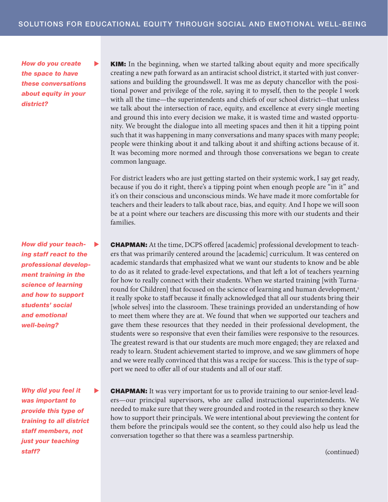*How do you create the space to have these conversations about equity in your district?*

*How did your teaching staff react to the professional development training in the science of learning and how to support students' social and emotional well-being?*

*Why did you feel it was important to provide this type of training to all district staff members, not just your teaching staff?*

� KIM: In the beginning, when we started talking about equity and more specifically creating a new path forward as an antiracist school district, it started with just conversations and building the groundswell. It was me as deputy chancellor with the positional power and privilege of the role, saying it to myself, then to the people I work with all the time—the superintendents and chiefs of our school district—that unless we talk about the intersection of race, equity, and excellence at every single meeting and ground this into every decision we make, it is wasted time and wasted opportunity. We brought the dialogue into all meeting spaces and then it hit a tipping point such that it was happening in many conversations and many spaces with many people; people were thinking about it and talking about it and shifting actions because of it. It was becoming more normed and through those conversations we began to create common language.

For district leaders who are just getting started on their systemic work, I say get ready, because if you do it right, there's a tipping point when enough people are "in it" and it's on their conscious and unconscious minds. We have made it more comfortable for teachers and their leaders to talk about race, bias, and equity. And I hope we will soon be at a point where our teachers are discussing this more with our students and their families.

**CHAPMAN:** At the time, DCPS offered [academic] professional development to teachers that was primarily centered around the [academic] curriculum. It was centered on academic standards that emphasized what we want our students to know and be able to do as it related to grade-level expectations, and that left a lot of teachers yearning for how to really connect with their students. When we started training [with Turnaround for Children] that focused on the science of learning and human development,<sup>2</sup> it really spoke to staff because it finally acknowledged that all our students bring their [whole selves] into the classroom. These trainings provided an understanding of how to meet them where they are at. We found that when we supported our teachers and gave them these resources that they needed in their professional development, the students were so responsive that even their families were responsive to the resources. The greatest reward is that our students are much more engaged; they are relaxed and ready to learn. Student achievement started to improve, and we saw glimmers of hope and we were really convinced that this was a recipe for success. This is the type of support we need to offer all of our students and all of our staff.

� CHAPMAN: It was very important for us to provide training to our senior-level leaders—our principal supervisors, who are called instructional superintendents. We needed to make sure that they were grounded and rooted in the research so they knew how to support their principals. We were intentional about previewing the content for them before the principals would see the content, so they could also help us lead the conversation together so that there was a seamless partnership.

(continued)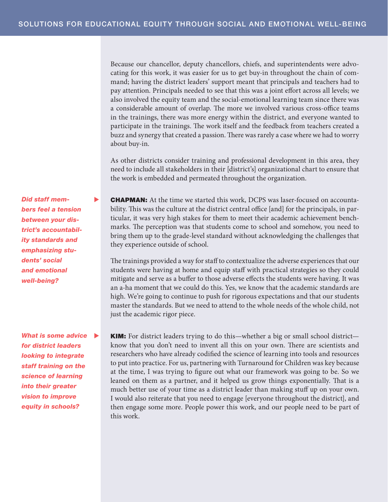Because our chancellor, deputy chancellors, chiefs, and superintendents were advocating for this work, it was easier for us to get buy-in throughout the chain of command; having the district leaders' support meant that principals and teachers had to pay attention. Principals needed to see that this was a joint effort across all levels; we also involved the equity team and the social-emotional learning team since there was a considerable amount of overlap. The more we involved various cross-office teams in the trainings, there was more energy within the district, and everyone wanted to participate in the trainings. The work itself and the feedback from teachers created a buzz and synergy that created a passion. There was rarely a case where we had to worry about buy-in.

As other districts consider training and professional development in this area, they need to include all stakeholders in their [district's] organizational chart to ensure that the work is embedded and permeated throughout the organization.

� CHAPMAN: At the time we started this work, DCPS was laser-focused on accountability. This was the culture at the district central office [and] for the principals, in particular, it was very high stakes for them to meet their academic achievement benchmarks. The perception was that students come to school and somehow, you need to bring them up to the grade-level standard without acknowledging the challenges that they experience outside of school.

The trainings provided a way for staff to contextualize the adverse experiences that our students were having at home and equip staff with practical strategies so they could mitigate and serve as a buffer to those adverse effects the students were having. It was an a-ha moment that we could do this. Yes, we know that the academic standards are high. We're going to continue to push for rigorous expectations and that our students master the standards. But we need to attend to the whole needs of the whole child, not just the academic rigor piece.

� KIM: For district leaders trying to do this—whether a big or small school district know that you don't need to invent all this on your own. There are scientists and researchers who have already codified the science of learning into tools and resources to put into practice. For us, partnering with Turnaround for Children was key because at the time, I was trying to figure out what our framework was going to be. So we leaned on them as a partner, and it helped us grow things exponentially. That is a much better use of your time as a district leader than making stuff up on your own. I would also reiterate that you need to engage [everyone throughout the district], and then engage some more. People power this work, and our people need to be part of this work.

*Did staff members feel a tension between your district's accountability standards and emphasizing students' social and emotional well-being?*

*What is some advice for district leaders looking to integrate staff training on the science of learning into their greater vision to improve equity in schools?*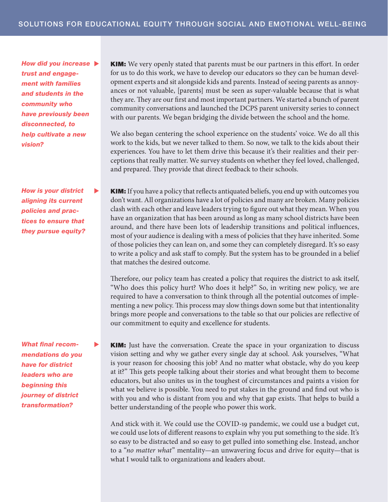*How did you increase trust and engagement with families and students in the community who have previously been disconnected, to help cultivate a new vision?*

*How is your district aligning its current policies and practices to ensure that they pursue equity?*

*What final recommendations do you have for district leaders who are beginning this journey of district transformation?*

**KIM:** We very openly stated that parents must be our partners in this effort. In order for us to do this work, we have to develop our educators so they can be human development experts and sit alongside kids and parents. Instead of seeing parents as annoyances or not valuable, [parents] must be seen as super-valuable because that is what they are. They are our first and most important partners. We started a bunch of parent community conversations and launched the DCPS parent university series to connect with our parents. We began bridging the divide between the school and the home.

We also began centering the school experience on the students' voice. We do all this work to the kids, but we never talked to them. So now, we talk to the kids about their experiences. You have to let them drive this because it's their realities and their perceptions that really matter. We survey students on whether they feel loved, challenged, and prepared. They provide that direct feedback to their schools.

**KIM:** If you have a policy that reflects antiquated beliefs, you end up with outcomes you don't want. All organizations have a lot of policies and many are broken. Many policies clash with each other and leave leaders trying to figure out what they mean. When you have an organization that has been around as long as many school districts have been around, and there have been lots of leadership transitions and political influences, most of your audience is dealing with a mess of policies that they have inherited. Some of those policies they can lean on, and some they can completely disregard. It's so easy to write a policy and ask staff to comply. But the system has to be grounded in a belief that matches the desired outcome.

Therefore, our policy team has created a policy that requires the district to ask itself, "Who does this policy hurt? Who does it help?" So, in writing new policy, we are required to have a conversation to think through all the potential outcomes of implementing a new policy. This process may slow things down some but that intentionality brings more people and conversations to the table so that our policies are reflective of our commitment to equity and excellence for students.

� KIM: Just have the conversation. Create the space in your organization to discuss vision setting and why we gather every single day at school. Ask yourselves, "What is your reason for choosing this job? And no matter what obstacle, why do you keep at it?" This gets people talking about their stories and what brought them to become educators, but also unites us in the toughest of circumstances and paints a vision for what we believe is possible. You need to put stakes in the ground and find out who is with you and who is distant from you and why that gap exists. That helps to build a better understanding of the people who power this work.

And stick with it. We could use the COVID-19 pandemic, we could use a budget cut, we could use lots of different reasons to explain why you put something to the side. It's so easy to be distracted and so easy to get pulled into something else. Instead, anchor to a "*no matter what*" mentality—an unwavering focus and drive for equity—that is what I would talk to organizations and leaders about.